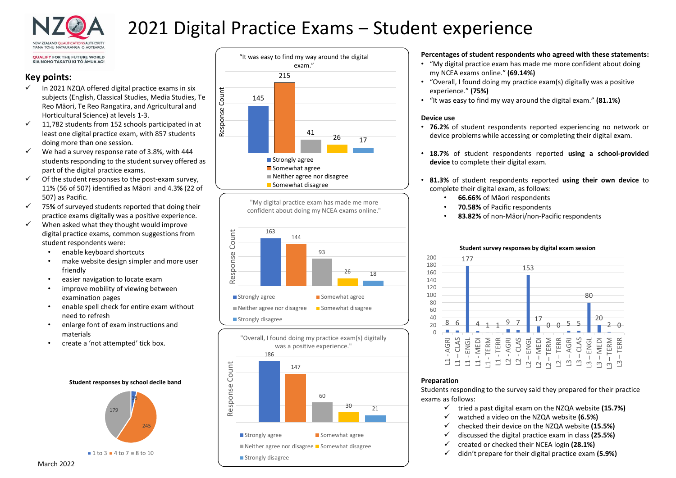

# 2021 Digital Practice Exams – Student experience

**OUALIFY FOR THE FUTURE WORLD** KIA NOHO TAKATŪ KI TŌ ĀMUA AO!

# Key points:

- $\checkmark$  In 2021 NZQA offered digital practice exams in six<br>subjects (English, Classical Studies, Media Studies, Te<br>Roo Māori, To Boo Bangatira, and Agricultural and subjects (English, Classical Studies, Media Studies, Te  $\frac{1}{5}$  145 Reo Māori, Te Reo Rangatira, and Agricultural and<br>
Horticultural Science) at levels 1-3.<br>
11,782 students from 152 schools participated in at<br>
least one digital practice exam. with 857 students Horticultural Science) at levels 1-3.
- 11,782 students from 152 schools participated in at least one digital practice exam, with 857 students doing more than one session.
- $\checkmark$  We had a survey response rate of 3.8%, with 444 students responding to the student survey offered as part of the digital practice exams.
- $\checkmark$  Of the student responses to the post-exam survey, 11% (56 of 507) identified as Māori and 4.3% (22 of 507) as Pacific.
- 75% of surveyed students reported that doing their practice exams digitally was a positive experience.
- $\checkmark$  When asked what they thought would improve<br>digital practice exams, common suggestions from<br>student respondents were: digital practice exams, common suggestions from student respondents were:
	-
	- enable keyboard shortcuts<br>• make website design simpler and more user<br>friendly • make website design simpler and more user friendly
	- easier navigation to locate exam
	- improve mobility of viewing between examination pages
	- enable spell check for entire exam without need to refresh

 $1 to 3 = 4 to 7 = 8 to 10$ 

- enlarge font of exam instructions and materials
- create a 'not attempted' tick box.





"My digital practice exam has made me more confident about doing my NCEA exams online."





# Percentages of student respondents who agreed with these statements:

- "My digital practice exam has made me more confident about doing my NCEA exams online." (69.14%)
- "Overall, I found doing my practice exam(s) digitally was a positive experience." (75%)
- "It was easy to find my way around the digital exam." (81.1%)

# Device use

- 76.2% of student respondents reported experiencing no network or device problems while accessing or completing their digital exam.
- 18.7% of student respondents reported using a school-provided device to complete their digital exam.
- 81.3% of student respondents reported using their own device to complete their digital exam, as follows:
	- 66.66% of Māori respondents
	- 70.58% of Pacific respondents
	- 83.82% of non-Māori/non-Pacific respondents



# Preparation

Students responding to the survey said they prepared for their practice exams as follows:

- $\checkmark$  tried a past digital exam on the NZQA website (15.7%)
- $\checkmark$  watched a video on the NZQA website (6.5%)
- $\checkmark$  checked their device on the NZQA website (15.5%)
- $\checkmark$  discussed the digital practice exam in class (25.5%)
- $\checkmark$  created or checked their NCEA login (28.1%)
- $\checkmark$  didn't prepare for their digital practice exam (5.9%)

#### Student survey responses by digital exam session